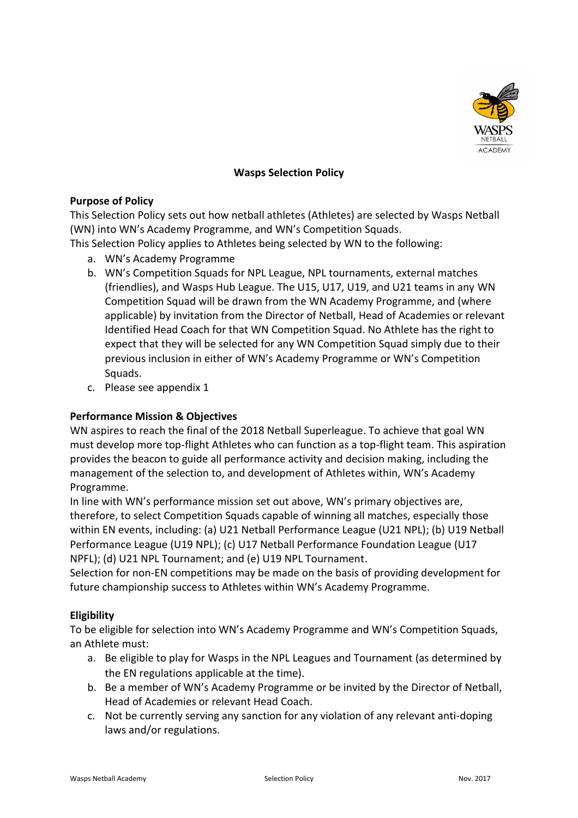

# **Wasps Selection Policy**

### **Purpose of Policy**

This Selection Policy sets out how netball athletes (Athletes) are selected by Wasps Netball (WN) into WN's Academy Programme, and WN's Competition Squads.

This Selection Policy applies to Athletes being selected by WN to the following:

- a. WN's Academy Programme
- b. WN's Competition Squads for NPL League, NPL tournaments, external matches (friendlies), and Wasps Hub League. The U15, U17, U19, and U21 teams in any WN Competition Squad will be drawn from the WN Academy Programme, and (where applicable) by invitation from the Director of Netball, Head of Academies or relevant Identified Head Coach for that WN Competition Squad. No Athlete has the right to expect that they will be selected for any WN Competition Squad simply due to their previous inclusion in either of WN's Academy Programme or WN's Competition Squads.
- c. Please see appendix 1

## **Performance Mission & Objectives**

WN aspires to reach the final of the 2018 Netball Superleague. To achieve that goal WN must develop more top-flight Athletes who can function as a top-flight team. This aspiration provides the beacon to guide all performance activity and decision making, including the management of the selection to, and development of Athletes within, WN's Academy Programme.

In line with WN's performance mission set out above, WN's primary objectives are, therefore, to select Competition Squads capable of winning all matches, especially those within EN events, including: (a) U21 Netball Performance League (U21 NPL); (b) U19 Netball Performance League (U19 NPL); (c) U17 Netball Performance Foundation League (U17 NPFL); (d) U21 NPL Tournament; and (e) U19 NPL Tournament.

Selection for non-EN competitions may be made on the basis of providing development for future championship success to Athletes within WN's Academy Programme.

## **Eligibility**

To be eligible for selection into WN's Academy Programme and WN's Competition Squads, an Athlete must:

- a. Be eligible to play for Wasps in the NPL Leagues and Tournament (as determined by the EN regulations applicable at the time).
- b. Be a member of WN's Academy Programme or be invited by the Director of Netball, Head of Academies or relevant Head Coach.
- c. Not be currently serving any sanction for any violation of any relevant anti-doping laws and/or regulations.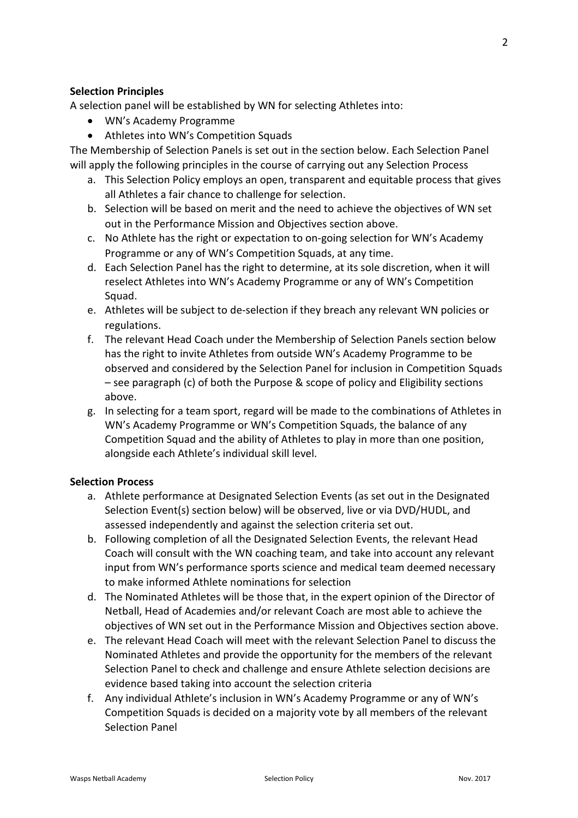# **Selection Principles**

A selection panel will be established by WN for selecting Athletes into:

- WN's Academy Programme
- Athletes into WN's Competition Squads

The Membership of Selection Panels is set out in the section below. Each Selection Panel will apply the following principles in the course of carrying out any Selection Process

- a. This Selection Policy employs an open, transparent and equitable process that gives all Athletes a fair chance to challenge for selection.
- b. Selection will be based on merit and the need to achieve the objectives of WN set out in the Performance Mission and Objectives section above.
- c. No Athlete has the right or expectation to on-going selection for WN's Academy Programme or any of WN's Competition Squads, at any time.
- d. Each Selection Panel has the right to determine, at its sole discretion, when it will reselect Athletes into WN's Academy Programme or any of WN's Competition Squad.
- e. Athletes will be subject to de-selection if they breach any relevant WN policies or regulations.
- f. The relevant Head Coach under the Membership of Selection Panels section below has the right to invite Athletes from outside WN's Academy Programme to be observed and considered by the Selection Panel for inclusion in Competition Squads – see paragraph (c) of both the Purpose & scope of policy and Eligibility sections above.
- g. In selecting for a team sport, regard will be made to the combinations of Athletes in WN's Academy Programme or WN's Competition Squads, the balance of any Competition Squad and the ability of Athletes to play in more than one position, alongside each Athlete's individual skill level.

## **Selection Process**

- a. Athlete performance at Designated Selection Events (as set out in the Designated Selection Event(s) section below) will be observed, live or via DVD/HUDL, and assessed independently and against the selection criteria set out.
- b. Following completion of all the Designated Selection Events, the relevant Head Coach will consult with the WN coaching team, and take into account any relevant input from WN's performance sports science and medical team deemed necessary to make informed Athlete nominations for selection
- d. The Nominated Athletes will be those that, in the expert opinion of the Director of Netball, Head of Academies and/or relevant Coach are most able to achieve the objectives of WN set out in the Performance Mission and Objectives section above.
- e. The relevant Head Coach will meet with the relevant Selection Panel to discuss the Nominated Athletes and provide the opportunity for the members of the relevant Selection Panel to check and challenge and ensure Athlete selection decisions are evidence based taking into account the selection criteria
- f. Any individual Athlete's inclusion in WN's Academy Programme or any of WN's Competition Squads is decided on a majority vote by all members of the relevant Selection Panel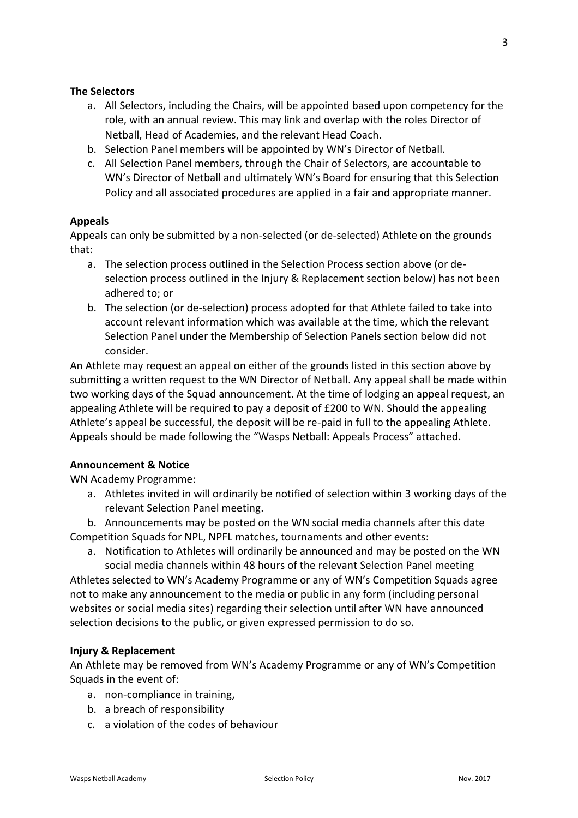### **The Selectors**

- a. All Selectors, including the Chairs, will be appointed based upon competency for the role, with an annual review. This may link and overlap with the roles Director of Netball, Head of Academies, and the relevant Head Coach.
- b. Selection Panel members will be appointed by WN's Director of Netball.
- c. All Selection Panel members, through the Chair of Selectors, are accountable to WN's Director of Netball and ultimately WN's Board for ensuring that this Selection Policy and all associated procedures are applied in a fair and appropriate manner.

## **Appeals**

Appeals can only be submitted by a non-selected (or de-selected) Athlete on the grounds that:

- a. The selection process outlined in the Selection Process section above (or deselection process outlined in the Injury & Replacement section below) has not been adhered to; or
- b. The selection (or de-selection) process adopted for that Athlete failed to take into account relevant information which was available at the time, which the relevant Selection Panel under the Membership of Selection Panels section below did not consider.

An Athlete may request an appeal on either of the grounds listed in this section above by submitting a written request to the WN Director of Netball. Any appeal shall be made within two working days of the Squad announcement. At the time of lodging an appeal request, an appealing Athlete will be required to pay a deposit of £200 to WN. Should the appealing Athlete's appeal be successful, the deposit will be re-paid in full to the appealing Athlete. Appeals should be made following the "Wasps Netball: Appeals Process" attached.

### **Announcement & Notice**

WN Academy Programme:

- a. Athletes invited in will ordinarily be notified of selection within 3 working days of the relevant Selection Panel meeting.
- b. Announcements may be posted on the WN social media channels after this date Competition Squads for NPL, NPFL matches, tournaments and other events:
	- a. Notification to Athletes will ordinarily be announced and may be posted on the WN social media channels within 48 hours of the relevant Selection Panel meeting

Athletes selected to WN's Academy Programme or any of WN's Competition Squads agree not to make any announcement to the media or public in any form (including personal websites or social media sites) regarding their selection until after WN have announced selection decisions to the public, or given expressed permission to do so.

#### **Injury & Replacement**

An Athlete may be removed from WN's Academy Programme or any of WN's Competition Squads in the event of:

- a. non-compliance in training,
- b. a breach of responsibility
- c. a violation of the codes of behaviour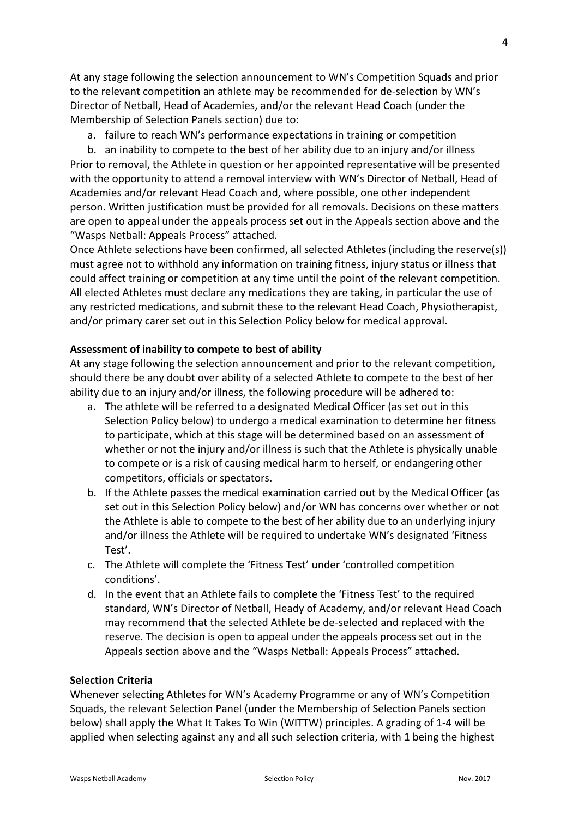At any stage following the selection announcement to WN's Competition Squads and prior to the relevant competition an athlete may be recommended for de-selection by WN's Director of Netball, Head of Academies, and/or the relevant Head Coach (under the Membership of Selection Panels section) due to:

a. failure to reach WN's performance expectations in training or competition

b. an inability to compete to the best of her ability due to an injury and/or illness Prior to removal, the Athlete in question or her appointed representative will be presented with the opportunity to attend a removal interview with WN's Director of Netball, Head of Academies and/or relevant Head Coach and, where possible, one other independent person. Written justification must be provided for all removals. Decisions on these matters are open to appeal under the appeals process set out in the Appeals section above and the "Wasps Netball: Appeals Process" attached.

Once Athlete selections have been confirmed, all selected Athletes (including the reserve(s)) must agree not to withhold any information on training fitness, injury status or illness that could affect training or competition at any time until the point of the relevant competition. All elected Athletes must declare any medications they are taking, in particular the use of any restricted medications, and submit these to the relevant Head Coach, Physiotherapist, and/or primary carer set out in this Selection Policy below for medical approval.

#### **Assessment of inability to compete to best of ability**

At any stage following the selection announcement and prior to the relevant competition, should there be any doubt over ability of a selected Athlete to compete to the best of her ability due to an injury and/or illness, the following procedure will be adhered to:

- a. The athlete will be referred to a designated Medical Officer (as set out in this Selection Policy below) to undergo a medical examination to determine her fitness to participate, which at this stage will be determined based on an assessment of whether or not the injury and/or illness is such that the Athlete is physically unable to compete or is a risk of causing medical harm to herself, or endangering other competitors, officials or spectators.
- b. If the Athlete passes the medical examination carried out by the Medical Officer (as set out in this Selection Policy below) and/or WN has concerns over whether or not the Athlete is able to compete to the best of her ability due to an underlying injury and/or illness the Athlete will be required to undertake WN's designated 'Fitness Test'.
- c. The Athlete will complete the 'Fitness Test' under 'controlled competition conditions'.
- d. In the event that an Athlete fails to complete the 'Fitness Test' to the required standard, WN's Director of Netball, Heady of Academy, and/or relevant Head Coach may recommend that the selected Athlete be de-selected and replaced with the reserve. The decision is open to appeal under the appeals process set out in the Appeals section above and the "Wasps Netball: Appeals Process" attached.

### **Selection Criteria**

Whenever selecting Athletes for WN's Academy Programme or any of WN's Competition Squads, the relevant Selection Panel (under the Membership of Selection Panels section below) shall apply the What It Takes To Win (WITTW) principles. A grading of 1-4 will be applied when selecting against any and all such selection criteria, with 1 being the highest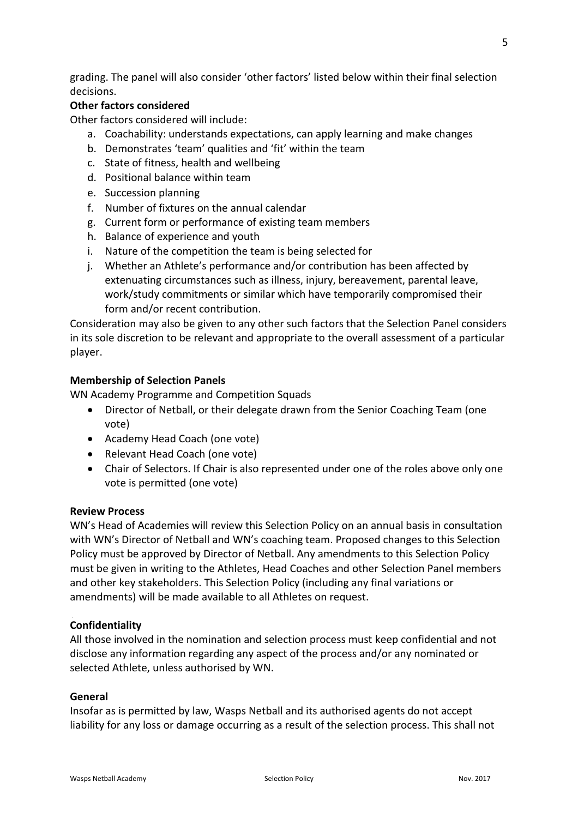grading. The panel will also consider 'other factors' listed below within their final selection decisions.

# **Other factors considered**

Other factors considered will include:

- a. Coachability: understands expectations, can apply learning and make changes
- b. Demonstrates 'team' qualities and 'fit' within the team
- c. State of fitness, health and wellbeing
- d. Positional balance within team
- e. Succession planning
- f. Number of fixtures on the annual calendar
- g. Current form or performance of existing team members
- h. Balance of experience and youth
- i. Nature of the competition the team is being selected for
- j. Whether an Athlete's performance and/or contribution has been affected by extenuating circumstances such as illness, injury, bereavement, parental leave, work/study commitments or similar which have temporarily compromised their form and/or recent contribution.

Consideration may also be given to any other such factors that the Selection Panel considers in its sole discretion to be relevant and appropriate to the overall assessment of a particular player.

## **Membership of Selection Panels**

WN Academy Programme and Competition Squads

- Director of Netball, or their delegate drawn from the Senior Coaching Team (one vote)
- Academy Head Coach (one vote)
- Relevant Head Coach (one vote)
- Chair of Selectors. If Chair is also represented under one of the roles above only one vote is permitted (one vote)

#### **Review Process**

WN's Head of Academies will review this Selection Policy on an annual basis in consultation with WN's Director of Netball and WN's coaching team. Proposed changes to this Selection Policy must be approved by Director of Netball. Any amendments to this Selection Policy must be given in writing to the Athletes, Head Coaches and other Selection Panel members and other key stakeholders. This Selection Policy (including any final variations or amendments) will be made available to all Athletes on request.

## **Confidentiality**

All those involved in the nomination and selection process must keep confidential and not disclose any information regarding any aspect of the process and/or any nominated or selected Athlete, unless authorised by WN.

#### **General**

Insofar as is permitted by law, Wasps Netball and its authorised agents do not accept liability for any loss or damage occurring as a result of the selection process. This shall not